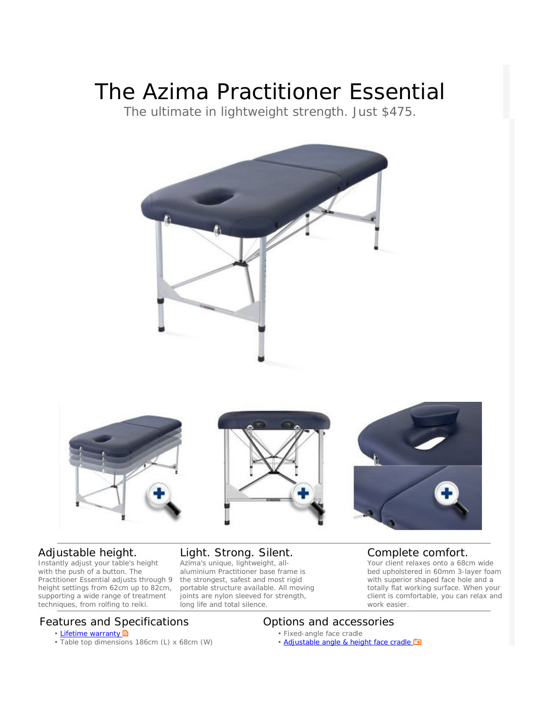# The Azima Practitioner Essential

The ultimate in lightweight strength. Just \$475.









## Adjustable height.

Instantly adjust your table's height with the push of a button. The Practitioner Essential adjusts through 9 height settings from 62cm up to 82cm, supporting a wide range of treatment techniques, from rolfing to reiki.

### Light. Strong. Silent.

Azima's unique, lightweight, allaluminium Practitioner base frame is the strongest, safest and most rigid portable structure available. All moving joints are nylon sleeved for strength, long life and total silence.

#### Complete comfort.

Your client relaxes onto a 68cm wide bed upholstered in 60mm 3-layer foam with superior shaped face hole and a totally flat working surface. When your client is comfortable, you can relax and work easier.

# Features and Specifications **Example 20 September 2018** Options and accessories

- Lifetime warranty
- Table top dimensions 186cm (L) x 68cm (W)

- Fixed-angle face cradle
- Adjustable angle & height face cradle